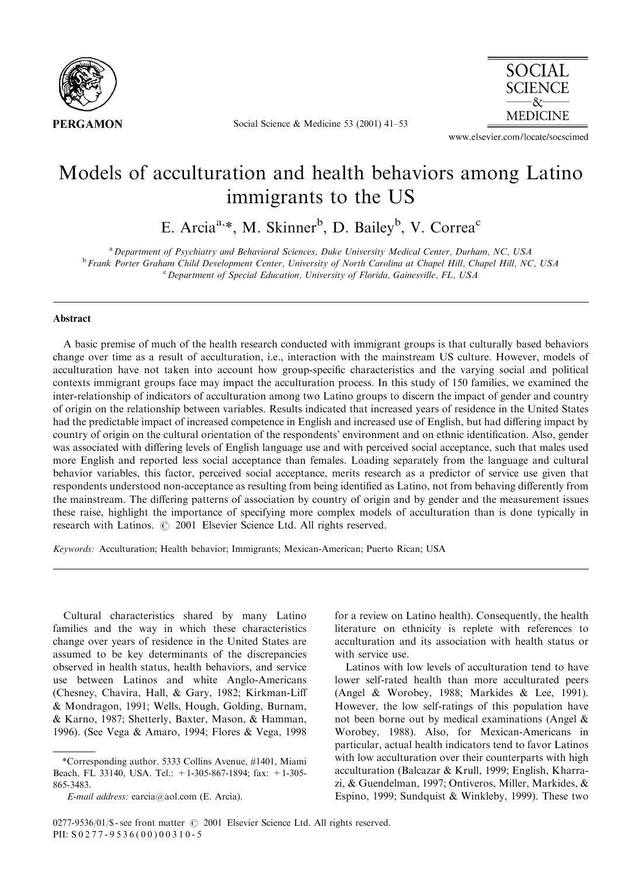

Social Science & Medicine 53 (2001) 41–53

**SOCIAL SCIENCE**  $\&$ **MEDICINE** 

www.elsevier.com/locate/socscimed

## Models of acculturation and health behaviors among Latino immigrants to the US

E. Arcia<sup>a,\*</sup>, M. Skinner<sup>b</sup>, D. Bailey<sup>b</sup>, V. Correa<sup>c</sup>

<sup>a</sup> Department of Psychiatry and Behavioral Sciences, Duke University Medical Center, Durham, NC, USA <sup>b</sup> Frank Porter Graham Child Development Center, University of North Carolina at Chapel Hill, Chapel Hill, NC, USA <sup>c</sup> Department of Special Education, University of Florida, Gainesville, FL, USA

## Abstract

A basic premise of much of the health research conducted with immigrant groups is that culturally based behaviors change over time as a result of acculturation, i.e., interaction with the mainstream US culture. However, models of acculturation have not taken into account how group-specific characteristics and the varying social and political contexts immigrant groups face may impact the acculturation process. In this study of 150 families, we examined the inter-relationship of indicators of acculturation among two Latino groups to discern the impact of gender and country of origin on the relationship between variables. Results indicated that increased years of residence in the United States had the predictable impact of increased competence in English and increased use of English, but had differing impact by country of origin on the cultural orientation of the respondents' environment and on ethnic identification. Also, gender was associated with differing levels of English language use and with perceived social acceptance, such that males used more English and reported less social acceptance than females. Loading separately from the language and cultural behavior variables, this factor, perceived social acceptance, merits research as a predictor of service use given that respondents understood non-acceptance as resulting from being identified as Latino, not from behaving differently from the mainstream. The differing patterns of association by country of origin and by gender and the measurement issues these raise, highlight the importance of specifying more complex models of acculturation than is done typically in research with Latinos.  $\odot$  2001 Elsevier Science Ltd. All rights reserved.

Keywords: Acculturation; Health behavior; Immigrants; Mexican-American; Puerto Rican; USA

Cultural characteristics shared by many Latino families and the way in which these characteristics change over years of residence in the United States are assumed to be key determinants of the discrepancies observed in health status, health behaviors, and service use between Latinos and white Anglo-Americans (Chesney, Chavira, Hall, & Gary, 1982; Kirkman-Liff & Mondragon, 1991; Wells, Hough, Golding, Burnam, & Karno, 1987; Shetterly, Baxter, Mason, & Hamman, 1996). (See Vega & Amaro, 1994; Flores & Vega, 1998

for a review on Latino health). Consequently, the health literature on ethnicity is replete with references to acculturation and its association with health status or with service use.

Latinos with low levels of acculturation tend to have lower self-rated health than more acculturated peers (Angel & Worobey, 1988; Markides & Lee, 1991). However, the low self-ratings of this population have not been borne out by medical examinations (Angel & Worobey, 1988). Also, for Mexican-Americans in particular, actual health indicators tend to favor Latinos with low acculturation over their counterparts with high acculturation (Balcazar & Krull, 1999; English, Kharrazi, & Guendelman, 1997; Ontiveros, Miller, Markides, & Espino, 1999; Sundquist & Winkleby, 1999). These two

<sup>\*</sup>Corresponding author. 5333 Collins Avenue, #1401, Miami Beach, FL 33140, USA. Tel.: +1-305-867-1894; fax: +1-305- 865-3483.

E-mail address: earcia@aol.com (E. Arcia).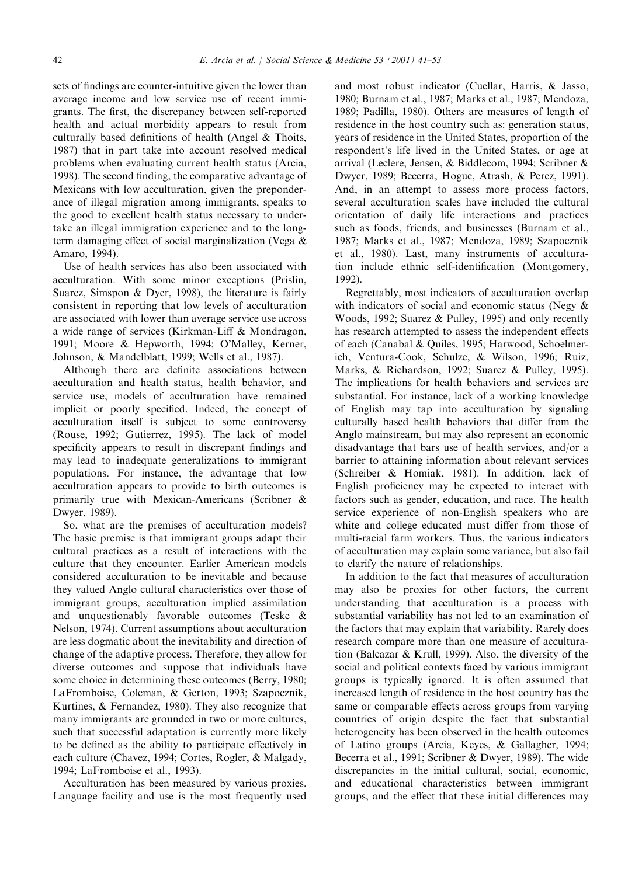sets of findings are counter-intuitive given the lower than average income and low service use of recent immigrants. The first, the discrepancy between self-reported health and actual morbidity appears to result from culturally based definitions of health (Angel & Thoits, 1987) that in part take into account resolved medical problems when evaluating current health status (Arcia, 1998). The second finding, the comparative advantage of Mexicans with low acculturation, given the preponderance of illegal migration among immigrants, speaks to the good to excellent health status necessary to undertake an illegal immigration experience and to the longterm damaging effect of social marginalization (Vega & Amaro, 1994).

Use of health services has also been associated with acculturation. With some minor exceptions (Prislin, Suarez, Simspon & Dyer, 1998), the literature is fairly consistent in reporting that low levels of acculturation are associated with lower than average service use across a wide range of services (Kirkman-Liff & Mondragon, 1991; Moore & Hepworth, 1994; O'Malley, Kerner, Johnson, & Mandelblatt, 1999; Wells et al., 1987).

Although there are definite associations between acculturation and health status, health behavior, and service use, models of acculturation have remained implicit or poorly specified. Indeed, the concept of acculturation itself is subject to some controversy (Rouse, 1992; Gutierrez, 1995). The lack of model specificity appears to result in discrepant findings and may lead to inadequate generalizations to immigrant populations. For instance, the advantage that low acculturation appears to provide to birth outcomes is primarily true with Mexican-Americans (Scribner & Dwyer, 1989).

So, what are the premises of acculturation models? The basic premise is that immigrant groups adapt their cultural practices as a result of interactions with the culture that they encounter. Earlier American models considered acculturation to be inevitable and because they valued Anglo cultural characteristics over those of immigrant groups, acculturation implied assimilation and unquestionably favorable outcomes (Teske & Nelson, 1974). Current assumptions about acculturation are less dogmatic about the inevitability and direction of change of the adaptive process. Therefore, they allow for diverse outcomes and suppose that individuals have some choice in determining these outcomes (Berry, 1980; LaFromboise, Coleman, & Gerton, 1993; Szapocznik, Kurtines, & Fernandez, 1980). They also recognize that many immigrants are grounded in two or more cultures, such that successful adaptation is currently more likely to be defined as the ability to participate effectively in each culture (Chavez, 1994; Cortes, Rogler, & Malgady, 1994; LaFromboise et al., 1993).

Acculturation has been measured by various proxies. Language facility and use is the most frequently used

and most robust indicator (Cuellar, Harris, & Jasso, 1980; Burnam et al., 1987; Marks et al., 1987; Mendoza, 1989; Padilla, 1980). Others are measures of length of residence in the host country such as: generation status, years of residence in the United States, proportion of the respondent's life lived in the United States, or age at arrival (Leclere, Jensen, & Biddlecom, 1994; Scribner & Dwyer, 1989; Becerra, Hogue, Atrash, & Perez, 1991). And, in an attempt to assess more process factors, several acculturation scales have included the cultural orientation of daily life interactions and practices such as foods, friends, and businesses (Burnam et al., 1987; Marks et al., 1987; Mendoza, 1989; Szapocznik et al., 1980). Last, many instruments of acculturation include ethnic self-identification (Montgomery, 1992).

Regrettably, most indicators of acculturation overlap with indicators of social and economic status (Negy & Woods, 1992; Suarez & Pulley, 1995) and only recently has research attempted to assess the independent effects of each (Canabal & Quiles, 1995; Harwood, Schoelmerich, Ventura-Cook, Schulze, & Wilson, 1996; Ruiz, Marks, & Richardson, 1992; Suarez & Pulley, 1995). The implications for health behaviors and services are substantial. For instance, lack of a working knowledge of English may tap into acculturation by signaling culturally based health behaviors that differ from the Anglo mainstream, but may also represent an economic disadvantage that bars use of health services, and/or a barrier to attaining information about relevant services (Schreiber & Homiak, 1981). In addition, lack of English proficiency may be expected to interact with factors such as gender, education, and race. The health service experience of non-English speakers who are white and college educated must differ from those of multi-racial farm workers. Thus, the various indicators of acculturation may explain some variance, but also fail to clarify the nature of relationships.

In addition to the fact that measures of acculturation may also be proxies for other factors, the current understanding that acculturation is a process with substantial variability has not led to an examination of the factors that may explain that variability. Rarely does research compare more than one measure of acculturation (Balcazar & Krull, 1999). Also, the diversity of the social and political contexts faced by various immigrant groups is typically ignored. It is often assumed that increased length of residence in the host country has the same or comparable effects across groups from varying countries of origin despite the fact that substantial heterogeneity has been observed in the health outcomes of Latino groups (Arcia, Keyes, & Gallagher, 1994; Becerra et al., 1991; Scribner & Dwyer, 1989). The wide discrepancies in the initial cultural, social, economic, and educational characteristics between immigrant groups, and the effect that these initial differences may